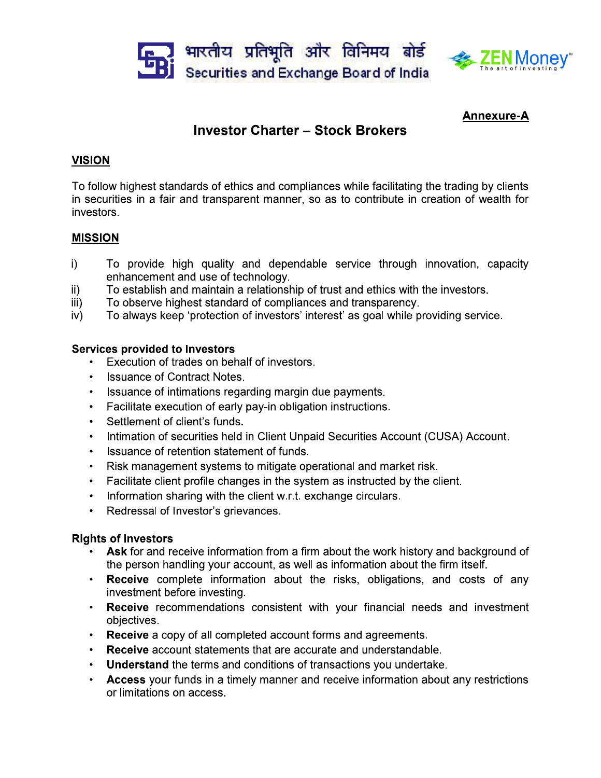



## **Annexure-A**

# **Investor Charter - Stock Brokers**

## **VISION**

To follow highest standards of ethics and compliances while facilitating the trading by clients in securities in a fair and transparent manner, so as to contribute in creation of wealth for investors.

## **MISSION**

- To provide high quality and dependable service through innovation, capacity i) enhancement and use of technology.
- To establish and maintain a relationship of trust and ethics with the investors.  $\mathsf{ii}$
- iii) To observe highest standard of compliances and transparency.
- To always keep 'protection of investors' interest' as goal while providing service.  $iv)$

## **Services provided to Investors**

- Execution of trades on behalf of investors.
- Issuance of Contract Notes.
- Issuance of intimations regarding margin due payments.
- Facilitate execution of early pay-in obligation instructions.
- Settlement of client's funds.
- $\bullet$ Intimation of securities held in Client Unpaid Securities Account (CUSA) Account.
- Issuance of retention statement of funds.  $\bullet$
- Risk management systems to mitigate operational and market risk.  $\bullet$  .
- Facilitate client profile changes in the system as instructed by the client.
- Information sharing with the client w.r.t. exchange circulars.  $\bullet$  .
- Redressal of Investor's grievances.  $\bullet$  .  $\blacksquare$

#### **Rights of Investors**

- Ask for and receive information from a firm about the work history and background of the person handling your account, as well as information about the firm itself.
- Receive complete information about the risks, obligations, and costs of any investment before investing.
- Receive recommendations consistent with your financial needs and investment objectives.
- Receive a copy of all completed account forms and agreements.
- Receive account statements that are accurate and understandable.  $\bullet$  .
- Understand the terms and conditions of transactions you undertake.
- Access your funds in a timely manner and receive information about any restrictions or limitations on access.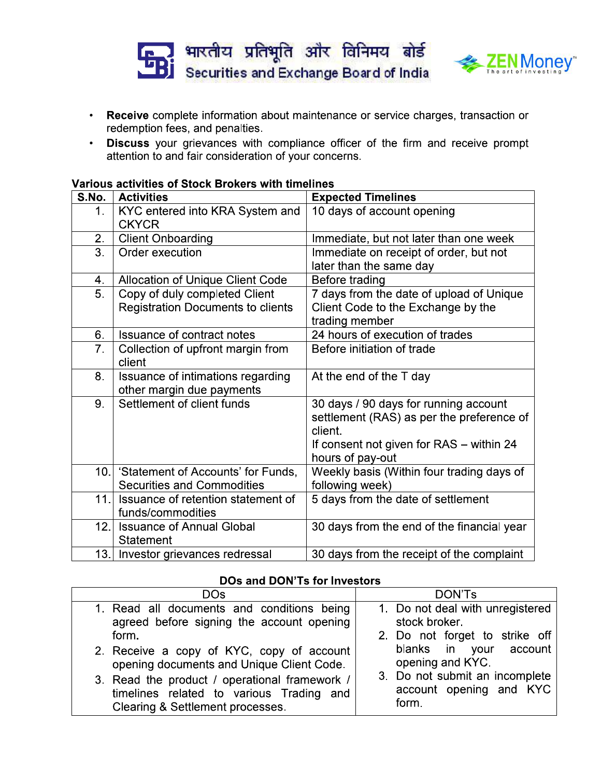



- Receive complete information about maintenance or service charges, transaction or redemption fees, and penalties.
- Discuss your grievances with compliance officer of the firm and receive prompt  $\bullet$  . attention to and fair consideration of your concerns.

#### Various activities of Stock Brokers with timelines

| S.No.            | <b>Activities</b>                                                          | <b>Expected Timelines</b>                                                                                                                                     |
|------------------|----------------------------------------------------------------------------|---------------------------------------------------------------------------------------------------------------------------------------------------------------|
| 1.               | KYC entered into KRA System and<br><b>CKYCR</b>                            | 10 days of account opening                                                                                                                                    |
| 2.               | <b>Client Onboarding</b>                                                   | Immediate, but not later than one week                                                                                                                        |
| $\overline{3}$ . | Order execution                                                            | Immediate on receipt of order, but not<br>later than the same day                                                                                             |
| 4.               | Allocation of Unique Client Code                                           | Before trading                                                                                                                                                |
| 5.               | Copy of duly completed Client<br><b>Registration Documents to clients</b>  | 7 days from the date of upload of Unique<br>Client Code to the Exchange by the<br>trading member                                                              |
| 6.               | Issuance of contract notes                                                 | 24 hours of execution of trades                                                                                                                               |
| 7.               | Collection of upfront margin from<br>client                                | Before initiation of trade                                                                                                                                    |
| 8.               | Issuance of intimations regarding<br>other margin due payments             | At the end of the T day                                                                                                                                       |
| 9.               | Settlement of client funds                                                 | 30 days / 90 days for running account<br>settlement (RAS) as per the preference of<br>client.<br>If consent not given for RAS - within 24<br>hours of pay-out |
|                  | 10. Statement of Accounts' for Funds,<br><b>Securities and Commodities</b> | Weekly basis (Within four trading days of<br>following week)                                                                                                  |
| 11.              | Issuance of retention statement of<br>funds/commodities                    | 5 days from the date of settlement                                                                                                                            |
| 12.1             | <b>Issuance of Annual Global</b><br>Statement                              | 30 days from the end of the financial year                                                                                                                    |
|                  | 13. Investor grievances redressal                                          | 30 days from the receipt of the complaint                                                                                                                     |

#### **DOs and DON'Ts for Investors**

| <b>DOs</b>                                    | <b>DON'Ts</b>                    |
|-----------------------------------------------|----------------------------------|
| 1. Read all documents and conditions being    | 1. Do not deal with unregistered |
| agreed before signing the account opening     | stock broker.                    |
| form.                                         | 2. Do not forget to strike off   |
| 2. Receive a copy of KYC, copy of account     | blanks in your account           |
| opening documents and Unique Client Code.     | opening and KYC.                 |
| 3. Read the product / operational framework / | 3. Do not submit an incomplete   |
| timelines related to various Trading and      | account opening and KYC          |
| Clearing & Settlement processes.              | form.                            |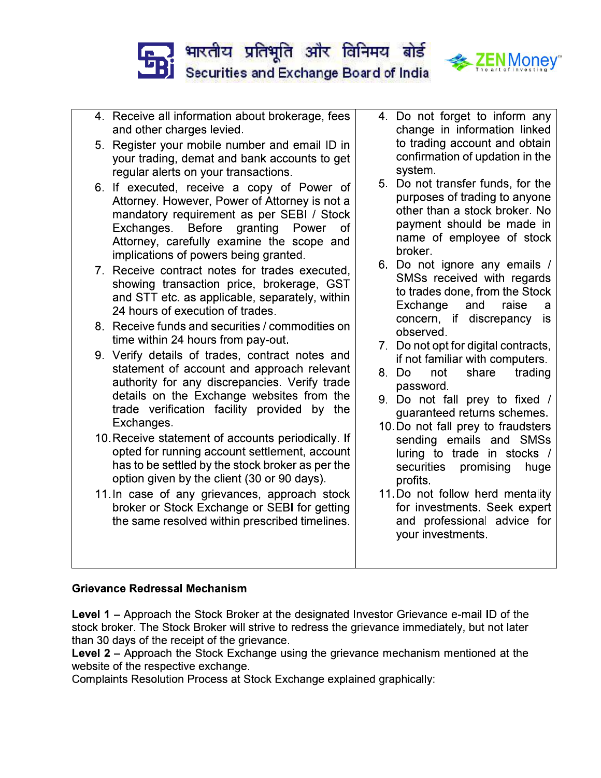



- 4. Receive all information about brokerage, fees and other charges levied.
- 5. Register your mobile number and email ID in your trading, demat and bank accounts to get regular alerts on your transactions.
- 6. If executed, receive a copy of Power of Attorney. However, Power of Attorney is not a mandatory requirement as per SEBI / Stock **Before** granting Power Exchanges. оf Attorney, carefully examine the scope and implications of powers being granted.
- 7. Receive contract notes for trades executed, showing transaction price, brokerage, GST and STT etc. as applicable, separately, within 24 hours of execution of trades.
- 8. Receive funds and securities / commodities on time within 24 hours from pay-out.
- 9. Verify details of trades, contract notes and statement of account and approach relevant authority for any discrepancies. Verify trade details on the Exchange websites from the trade verification facility provided by the Exchanges.
- 10. Receive statement of accounts periodically. If opted for running account settlement, account has to be settled by the stock broker as per the option given by the client (30 or 90 days).
- 11. In case of any grievances, approach stock broker or Stock Exchange or SEBI for getting the same resolved within prescribed timelines.
- 4. Do not forget to inform any change in information linked to trading account and obtain confirmation of updation in the system.
- 5. Do not transfer funds, for the purposes of trading to anyone other than a stock broker. No payment should be made in name of employee of stock broker.
- 6. Do not ignore any emails / SMSs received with regards to trades done, from the Stock Exchange and raise a concern, if discrepancy is observed.
- 7. Do not opt for digital contracts, if not familiar with computers.
- 8. Do not share trading password.
- 9. Do not fall prey to fixed / guaranteed returns schemes.
- 10. Do not fall prey to fraudsters sending emails and SMSs luring to trade in stocks / securities promising huge profits.
- 11. Do not follow herd mentality for investments. Seek expert and professional advice for your investments.

## **Grievance Redressal Mechanism**

Level 1 - Approach the Stock Broker at the designated Investor Grievance e-mail ID of the stock broker. The Stock Broker will strive to redress the grievance immediately, but not later than 30 days of the receipt of the grievance.

**Level 2** – Approach the Stock Exchange using the grievance mechanism mentioned at the website of the respective exchange.

Complaints Resolution Process at Stock Exchange explained graphically: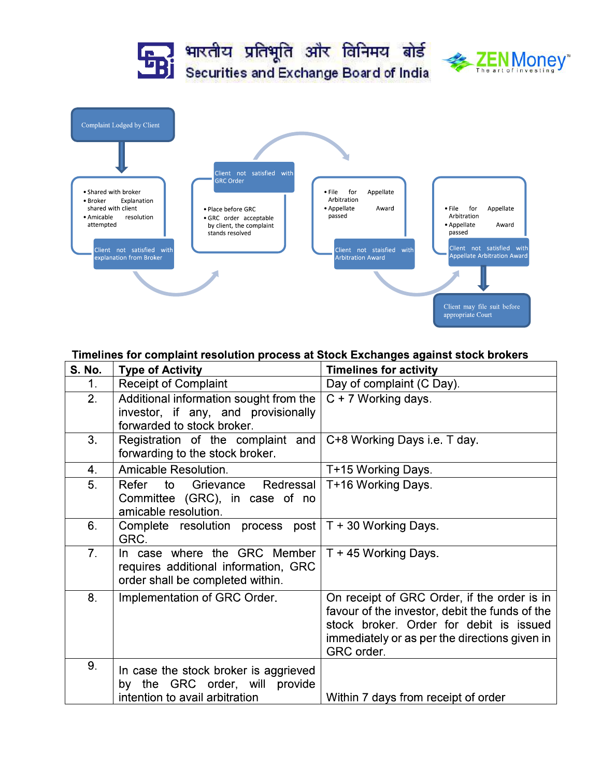

#### Timelines for complaint resolution process at Stock Exchanges against stock brokers

| <b>S. No.</b>  | <b>Type of Activity</b>                                                                                     | <b>Timelines for activity</b>                                                                                                                                                                           |
|----------------|-------------------------------------------------------------------------------------------------------------|---------------------------------------------------------------------------------------------------------------------------------------------------------------------------------------------------------|
| 1.             | <b>Receipt of Complaint</b>                                                                                 | Day of complaint (C Day).                                                                                                                                                                               |
| 2.             | Additional information sought from the<br>investor, if any, and provisionally<br>forwarded to stock broker. | $C + 7$ Working days.                                                                                                                                                                                   |
| 3.             | Registration of the complaint and<br>forwarding to the stock broker.                                        | C+8 Working Days i.e. T day.                                                                                                                                                                            |
| 4.             | Amicable Resolution.                                                                                        | T+15 Working Days.                                                                                                                                                                                      |
| 5.             | Refer to<br>Grievance Redressal<br>Committee (GRC), in case of no<br>amicable resolution.                   | T+16 Working Days.                                                                                                                                                                                      |
| 6.             | Complete resolution process post $T + 30$ Working Days.<br>GRC.                                             |                                                                                                                                                                                                         |
| 7 <sub>1</sub> | In case where the GRC Member<br>requires additional information, GRC<br>order shall be completed within.    | T + 45 Working Days.                                                                                                                                                                                    |
| 8.             | Implementation of GRC Order.                                                                                | On receipt of GRC Order, if the order is in<br>favour of the investor, debit the funds of the<br>stock broker. Order for debit is issued<br>immediately or as per the directions given in<br>GRC order. |
| 9.             | In case the stock broker is aggrieved<br>by the GRC order, will provide<br>intention to avail arbitration   | Within 7 days from receipt of order                                                                                                                                                                     |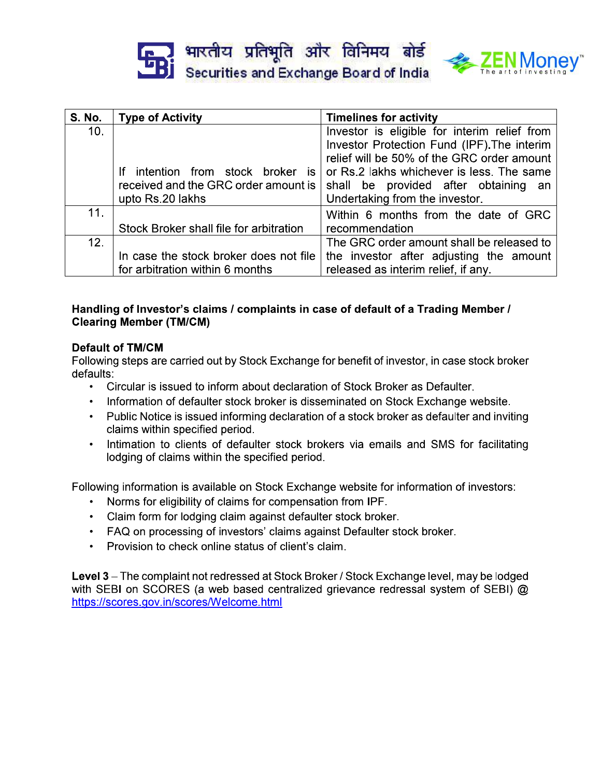|  | <b>End भारतीय प्रतिभूति और विनिमय बोर्ड</b><br>Bi Securities and Exchange Board of India |  |  |
|--|------------------------------------------------------------------------------------------|--|--|
|  |                                                                                          |  |  |



| <b>S. No.</b> | <b>Type of Activity</b>                        | <b>Timelines for activity</b>                |
|---------------|------------------------------------------------|----------------------------------------------|
| 10.           |                                                | Investor is eligible for interim relief from |
|               |                                                | Investor Protection Fund (IPF). The interim  |
|               |                                                | relief will be 50% of the GRC order amount   |
|               | intention from stock broker<br>Ιf<br><b>IS</b> | or Rs.2 lakhs whichever is less. The same    |
|               | received and the GRC order amount is           | shall be provided after obtaining<br>an      |
|               | upto Rs.20 lakhs                               | Undertaking from the investor.               |
| 11.           |                                                | Within 6 months from the date of GRC         |
|               | Stock Broker shall file for arbitration        | recommendation                               |
| 12.           |                                                | The GRC order amount shall be released to    |
|               | In case the stock broker does not file         | the investor after adjusting the amount      |
|               | for arbitration within 6 months                | released as interim relief, if any.          |

## Handling of Investor's claims / complaints in case of default of a Trading Member / **Clearing Member (TM/CM)**

## **Default of TM/CM**

Following steps are carried out by Stock Exchange for benefit of investor, in case stock broker defaults:

- . Circular is issued to inform about declaration of Stock Broker as Defaulter.
- Information of defaulter stock broker is disseminated on Stock Exchange website.
- Public Notice is issued informing declaration of a stock broker as defaulter and inviting claims within specified period.
- Intimation to clients of defaulter stock brokers via emails and SMS for facilitating  $\bullet$ lodging of claims within the specified period.

Following information is available on Stock Exchange website for information of investors:

- Norms for eligibility of claims for compensation from IPF.
- Claim form for lodging claim against defaulter stock broker.
- FAQ on processing of investors' claims against Defaulter stock broker.
- Provision to check online status of client's claim.

Level 3 - The complaint not redressed at Stock Broker / Stock Exchange level, may be lodged with SEBI on SCORES (a web based centralized grievance redressal system of SEBI) @ https://scores.gov.in/scores/Welcome.html